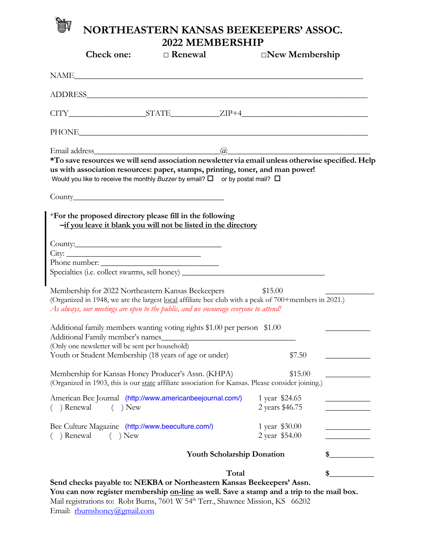## **NORTHEASTERN KANSAS BEEKEEPERS' ASSOC.**  IV **2022 MEMBERSHIP**

| <b>Check one:</b>                                                                                                                                                                                                                                                                   | $\Box$ Renewal |                                   |                                   | $\Box$ New Membership |  |
|-------------------------------------------------------------------------------------------------------------------------------------------------------------------------------------------------------------------------------------------------------------------------------------|----------------|-----------------------------------|-----------------------------------|-----------------------|--|
| NAME                                                                                                                                                                                                                                                                                |                |                                   |                                   |                       |  |
|                                                                                                                                                                                                                                                                                     |                |                                   |                                   |                       |  |
| $CITY$ $STATE$ $ZIP+4$                                                                                                                                                                                                                                                              |                |                                   |                                   |                       |  |
|                                                                                                                                                                                                                                                                                     |                |                                   |                                   |                       |  |
| *To save resources we will send association newsletter via email unless otherwise specified. Help<br>us with association resources: paper, stamps, printing, toner, and man power!<br>Would you like to receive the monthly Buzzer by email? $\square$ or by postal mail? $\square$ |                |                                   |                                   |                       |  |
|                                                                                                                                                                                                                                                                                     |                |                                   |                                   |                       |  |
| *For the proposed directory please fill in the following<br>-if you leave it blank you will not be listed in the directory                                                                                                                                                          |                |                                   |                                   |                       |  |
|                                                                                                                                                                                                                                                                                     |                |                                   |                                   |                       |  |
|                                                                                                                                                                                                                                                                                     |                |                                   |                                   |                       |  |
|                                                                                                                                                                                                                                                                                     |                |                                   |                                   |                       |  |
| Specialties (i.e. collect swarms, sell honey) ___________________________________                                                                                                                                                                                                   |                |                                   |                                   |                       |  |
| Membership for 2022 Northeastern Kansas Beekeepers<br>(Organized in 1948, we are the largest local affiliate bee club with a peak of 700+members in 2021.)<br>As always, our meetings are open to the public, and we encourage everyone to attend!                                  |                |                                   | \$15.00                           |                       |  |
| Additional family members wanting voting rights \$1.00 per person \$1.00<br>Additional Family member's names_                                                                                                                                                                       |                |                                   |                                   |                       |  |
| (Only one newsletter will be sent per household)                                                                                                                                                                                                                                    |                |                                   |                                   |                       |  |
| Youth or Student Membership (18 years of age or under)                                                                                                                                                                                                                              |                |                                   | \$7.50                            |                       |  |
| Membership for Kansas Honey Producer's Assn. (KHPA)<br>(Organized in 1903, this is our state affiliate association for Kansas. Please consider joining.)                                                                                                                            |                |                                   | \$15.00                           |                       |  |
| American Bee Journal (http://www.americanbeejournal.com/)<br>( ) Renewal<br>$)$ New<br>$\left($                                                                                                                                                                                     |                |                                   | 1 year \$24.65<br>2 years \$46.75 |                       |  |
| Bee Culture Magazine (http://www.beeculture.com/)<br>) Renewal<br>$( )$ New                                                                                                                                                                                                         |                |                                   | 1 year \$30.00<br>2 year \$54.00  |                       |  |
|                                                                                                                                                                                                                                                                                     |                | <b>Youth Scholarship Donation</b> |                                   |                       |  |
| Total                                                                                                                                                                                                                                                                               |                |                                   |                                   | \$                    |  |
| Send checks payable to: NEKBA or Northeastern Kansas Beekeepers' Assn.<br>You can now register membership on-line as well. Save a stamp and a trip to the mail box.                                                                                                                 |                |                                   |                                   |                       |  |

Mail registrations to: Robt Burns, 7601 W 54<sup>th</sup> Terr., Shawnee Mission, KS 66202 Email: rburnshoney@gmail.com